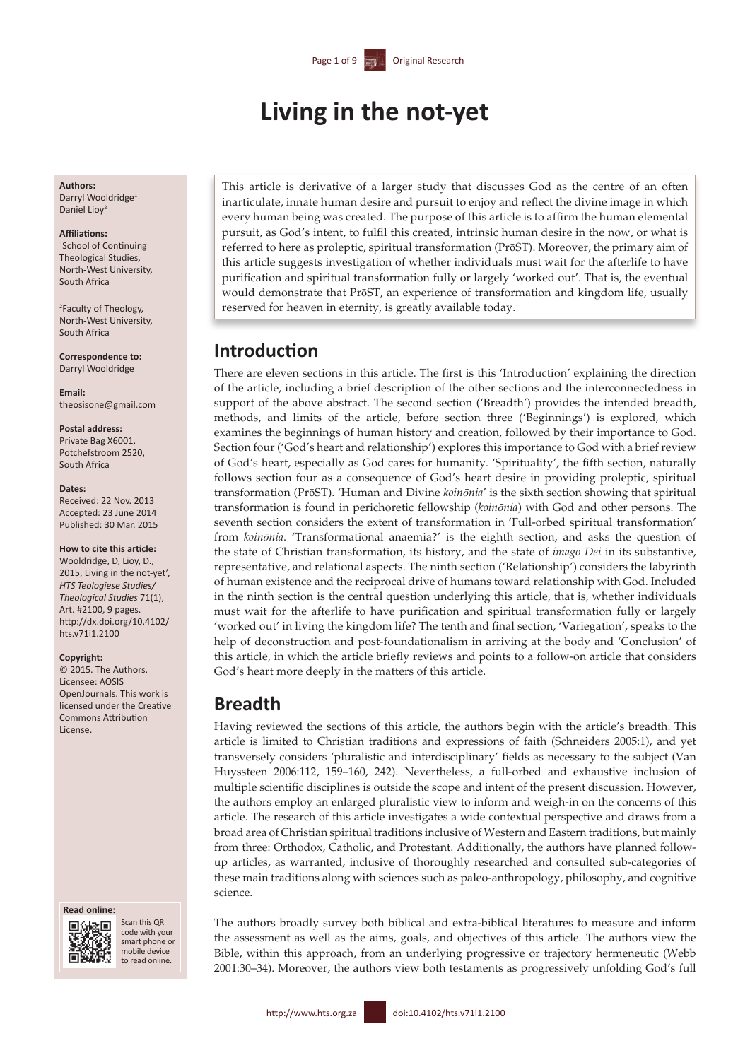# **Living in the not-yet**

#### **Authors:** Darryl Wooldridge<sup>1</sup>

Daniel Liov<sup>2</sup>

### **Affiliations:**

1 School of Continuing Theological Studies, North-West University, South Africa

2 Faculty of Theology, North-West University, South Africa

**Correspondence to:** Darryl Wooldridge

**Email:** [theosisone@gmail.com](mailto:theosisone@gmail.com)

#### **Postal address:**

Private Bag X6001, Potchefstroom 2520, South Africa

#### **Dates:**

Received: 22 Nov. 2013 Accepted: 23 June 2014 Published: 30 Mar. 2015

#### **How to cite this article:**

Wooldridge, D, Lioy, D., 2015, Living in the not-yet', *HTS Teologiese Studies/ Theological Studies* 71(1), Art. #2100, 9 pages. [http://dx.doi.org/10.4102/](http://dx.doi.org/10.4102/hts.v71i1.2100) [hts.v71i1.2100](http://dx.doi.org/10.4102/hts.v71i1.2100)

#### **Copyright:**

© 2015. The Authors. Licensee: AOSIS OpenJournals. This work is licensed under the Creative Commons Attribution License.

#### **Read online:**



Scan this QR code with your smart phone or mobile device to read online.

This article is derivative of a larger study that discusses God as the centre of an often inarticulate, innate human desire and pursuit to enjoy and reflect the divine image in which every human being was created. The purpose of this article is to affirm the human elemental pursuit, as God's intent, to fulfil this created, intrinsic human desire in the now, or what is referred to here as proleptic, spiritual transformation (PrōST). Moreover, the primary aim of this article suggests investigation of whether individuals must wait for the afterlife to have purification and spiritual transformation fully or largely 'worked out'. That is, the eventual would demonstrate that PrōST, an experience of transformation and kingdom life, usually reserved for heaven in eternity, is greatly available today.

### **Introduction**

There are eleven sections in this article. The first is this 'Introduction' explaining the direction of the article, including a brief description of the other sections and the interconnectedness in support of the above abstract. The second section ('Breadth') provides the intended breadth, methods, and limits of the article, before section three ('Beginnings') is explored, which examines the beginnings of human history and creation, followed by their importance to God. Section four ('God's heart and relationship') explores this importance to God with a brief review of God's heart, especially as God cares for humanity. 'Spirituality', the fifth section, naturally follows section four as a consequence of God's heart desire in providing proleptic, spiritual transformation (PrōST). 'Human and Divine *koinōnia*' is the sixth section showing that spiritual transformation is found in perichoretic fellowship (*koinōnia*) with God and other persons. The seventh section considers the extent of transformation in 'Full-orbed spiritual transformation' from *koinōnia*. 'Transformational anaemia?' is the eighth section, and asks the question of the state of Christian transformation, its history, and the state of *imago Dei* in its substantive, representative, and relational aspects. The ninth section ('Relationship') considers the labyrinth of human existence and the reciprocal drive of humans toward relationship with God. Included in the ninth section is the central question underlying this article, that is, whether individuals must wait for the afterlife to have purification and spiritual transformation fully or largely 'worked out' in living the kingdom life? The tenth and final section, 'Variegation', speaks to the help of deconstruction and post-foundationalism in arriving at the body and 'Conclusion' of this article, in which the article briefly reviews and points to a follow-on article that considers God's heart more deeply in the matters of this article.

### **Breadth**

Having reviewed the sections of this article, the authors begin with the article's breadth. This article is limited to Christian traditions and expressions of faith (Schneiders 2005:1), and yet transversely considers 'pluralistic and interdisciplinary' fields as necessary to the subject (Van Huyssteen 2006:112, 159–160, 242). Nevertheless, a full-orbed and exhaustive inclusion of multiple scientific disciplines is outside the scope and intent of the present discussion. However, the authors employ an enlarged pluralistic view to inform and weigh-in on the concerns of this article. The research of this article investigates a wide contextual perspective and draws from a broad area of Christian spiritual traditions inclusive of Western and Eastern traditions, but mainly from three: Orthodox, Catholic, and Protestant. Additionally, the authors have planned followup articles, as warranted, inclusive of thoroughly researched and consulted sub-categories of these main traditions along with sciences such as paleo-anthropology, philosophy, and cognitive science.

The authors broadly survey both biblical and extra-biblical literatures to measure and inform the assessment as well as the aims, goals, and objectives of this article. The authors view the Bible, within this approach, from an underlying progressive or trajectory hermeneutic (Webb 2001:30–34). Moreover, the authors view both testaments as progressively unfolding God's full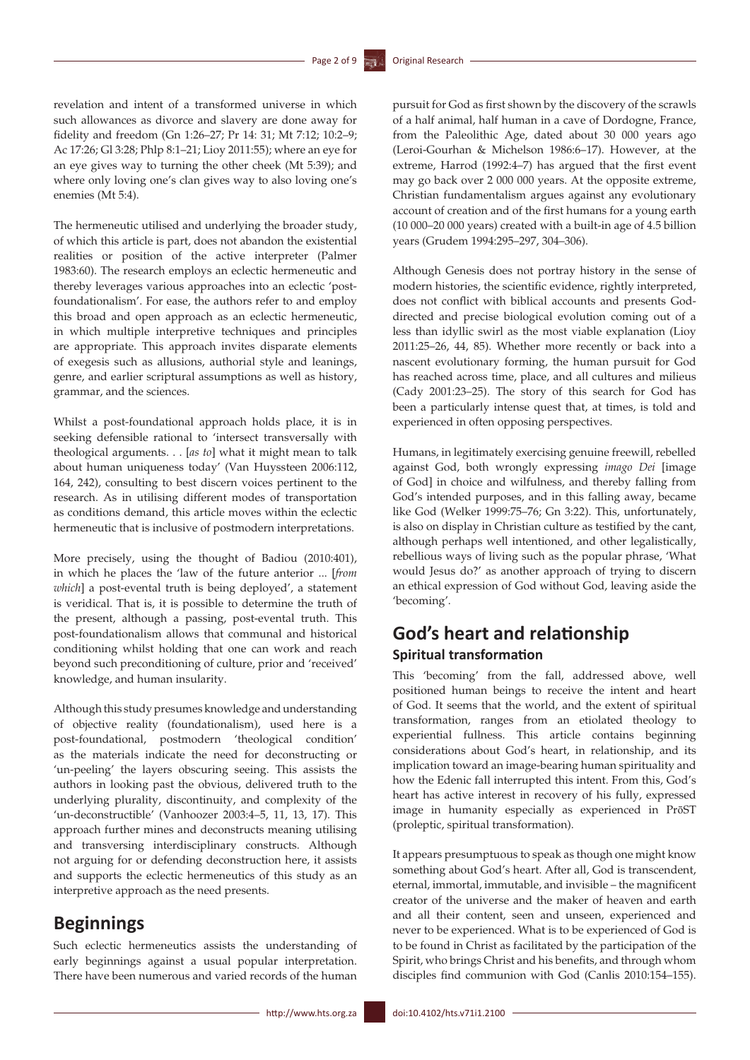revelation and intent of a transformed universe in which such allowances as divorce and slavery are done away for fidelity and freedom (Gn 1:26–27; Pr 14: 31; Mt 7:12; 10:2–9; Ac 17:26; Gl 3:28; Phlp 8:1–21; Lioy 2011:55); where an eye for an eye gives way to turning the other cheek (Mt 5:39); and where only loving one's clan gives way to also loving one's enemies (Mt 5:4).

The hermeneutic utilised and underlying the broader study, of which this article is part, does not abandon the existential realities or position of the active interpreter (Palmer 1983:60). The research employs an eclectic hermeneutic and thereby leverages various approaches into an eclectic 'postfoundationalism'. For ease, the authors refer to and employ this broad and open approach as an eclectic hermeneutic, in which multiple interpretive techniques and principles are appropriate. This approach invites disparate elements of exegesis such as allusions, authorial style and leanings, genre, and earlier scriptural assumptions as well as history, grammar, and the sciences.

Whilst a post-foundational approach holds place, it is in seeking defensible rational to 'intersect transversally with theological arguments. . . [*as to*] what it might mean to talk about human uniqueness today' (Van Huyssteen 2006:112, 164, 242), consulting to best discern voices pertinent to the research. As in utilising different modes of transportation as conditions demand, this article moves within the eclectic hermeneutic that is inclusive of postmodern interpretations.

More precisely, using the thought of Badiou (2010:401), in which he places the 'law of the future anterior ... [*from which*] a post-evental truth is being deployed', a statement is veridical. That is, it is possible to determine the truth of the present, although a passing, post-evental truth. This post-foundationalism allows that communal and historical conditioning whilst holding that one can work and reach beyond such preconditioning of culture, prior and 'received' knowledge, and human insularity.

Although this study presumes knowledge and understanding of objective reality (foundationalism), used here is a post-foundational, postmodern 'theological condition' as the materials indicate the need for deconstructing or 'un-peeling' the layers obscuring seeing. This assists the authors in looking past the obvious, delivered truth to the underlying plurality, discontinuity, and complexity of the 'un-deconstructible' (Vanhoozer 2003:4–5, 11, 13, 17). This approach further mines and deconstructs meaning utilising and transversing interdisciplinary constructs. Although not arguing for or defending deconstruction here, it assists and supports the eclectic hermeneutics of this study as an interpretive approach as the need presents.

### **Beginnings**

Such eclectic hermeneutics assists the understanding of early beginnings against a usual popular interpretation. There have been numerous and varied records of the human pursuit for God as first shown by the discovery of the scrawls of a half animal, half human in a cave of Dordogne, France, from the Paleolithic Age, dated about 30 000 years ago (Leroi-Gourhan & Michelson 1986:6–17). However, at the extreme, Harrod (1992:4–7) has argued that the first event may go back over 2 000 000 years. At the opposite extreme, Christian fundamentalism argues against any evolutionary account of creation and of the first humans for a young earth (10 000–20 000 years) created with a built-in age of 4.5 billion years (Grudem 1994:295–297, 304–306).

Although Genesis does not portray history in the sense of modern histories, the scientific evidence, rightly interpreted, does not conflict with biblical accounts and presents Goddirected and precise biological evolution coming out of a less than idyllic swirl as the most viable explanation (Lioy 2011:25–26, 44, 85). Whether more recently or back into a nascent evolutionary forming, the human pursuit for God has reached across time, place, and all cultures and milieus (Cady 2001:23–25). The story of this search for God has been a particularly intense quest that, at times, is told and experienced in often opposing perspectives.

Humans, in legitimately exercising genuine freewill, rebelled against God, both wrongly expressing *imago Dei* [image of God] in choice and wilfulness, and thereby falling from God's intended purposes, and in this falling away, became like God (Welker 1999:75–76; Gn 3:22). This, unfortunately, is also on display in Christian culture as testified by the cant, although perhaps well intentioned, and other legalistically, rebellious ways of living such as the popular phrase, 'What would Jesus do?' as another approach of trying to discern an ethical expression of God without God, leaving aside the 'becoming'.

## **God's heart and relationship Spiritual transformation**

This 'becoming' from the fall, addressed above, well positioned human beings to receive the intent and heart of God. It seems that the world, and the extent of spiritual transformation, ranges from an etiolated theology to experiential fullness. This article contains beginning considerations about God's heart, in relationship, and its implication toward an image-bearing human spirituality and how the Edenic fall interrupted this intent. From this, God's heart has active interest in recovery of his fully, expressed image in humanity especially as experienced in PrōST (proleptic, spiritual transformation).

It appears presumptuous to speak as though one might know something about God's heart. After all, God is transcendent, eternal, immortal, immutable, and invisible – the magnificent creator of the universe and the maker of heaven and earth and all their content, seen and unseen, experienced and never to be experienced. What is to be experienced of God is to be found in Christ as facilitated by the participation of the Spirit, who brings Christ and his benefits, and through whom disciples find communion with God (Canlis 2010:154–155).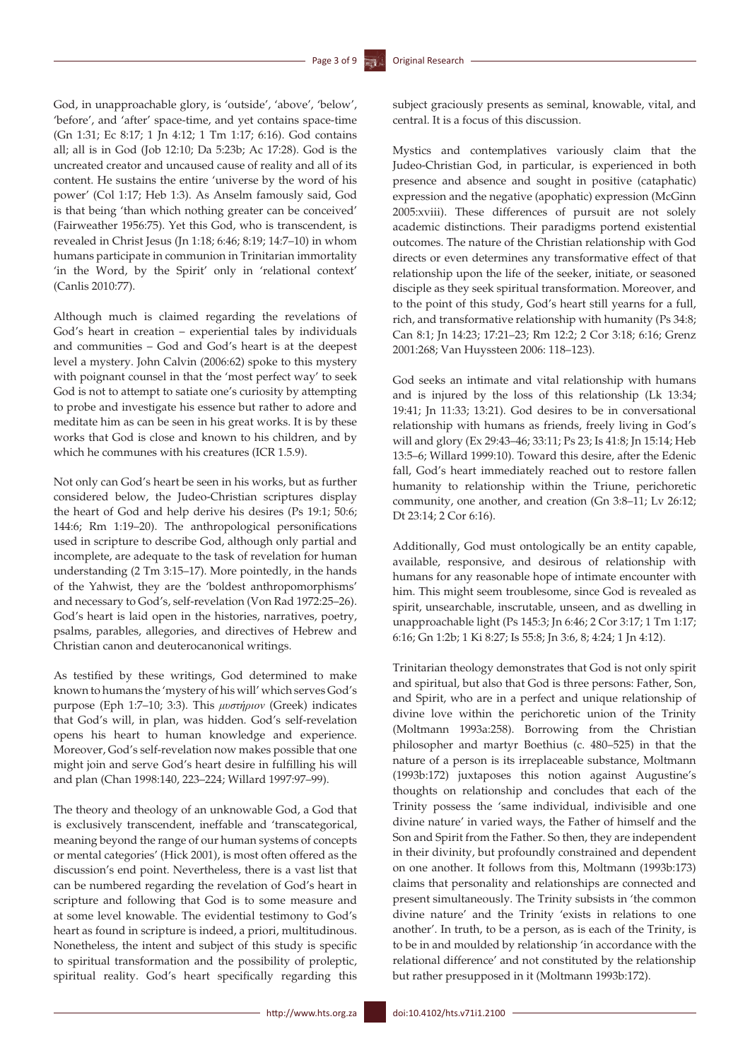God, in unapproachable glory, is 'outside', 'above', 'below', 'before', and 'after' space-time, and yet contains space-time (Gn 1:31; Ec 8:17; 1 Jn 4:12; 1 Tm 1:17; 6:16). God contains all; all is in God (Job 12:10; Da 5:23b; Ac 17:28). God is the uncreated creator and uncaused cause of reality and all of its content. He sustains the entire 'universe by the word of his power' (Col 1:17; Heb 1:3). As Anselm famously said, God is that being 'than which nothing greater can be conceived' (Fairweather 1956:75). Yet this God, who is transcendent, is revealed in Christ Jesus (Jn 1:18; 6:46; 8:19; 14:7–10) in whom humans participate in communion in Trinitarian immortality 'in the Word, by the Spirit' only in 'relational context' (Canlis 2010:77).

Although much is claimed regarding the revelations of God's heart in creation – experiential tales by individuals and communities – God and God's heart is at the deepest level a mystery. John Calvin (2006:62) spoke to this mystery with poignant counsel in that the 'most perfect way' to seek God is not to attempt to satiate one's curiosity by attempting to probe and investigate his essence but rather to adore and meditate him as can be seen in his great works. It is by these works that God is close and known to his children, and by which he communes with his creatures (ICR 1.5.9).

Not only can God's heart be seen in his works, but as further considered below, the Judeo-Christian scriptures display the heart of God and help derive his desires (Ps 19:1; 50:6; 144:6; Rm 1:19–20). The anthropological personifications used in scripture to describe God, although only partial and incomplete, are adequate to the task of revelation for human understanding (2 Tm 3:15–17). More pointedly, in the hands of the Yahwist, they are the 'boldest anthropomorphisms' and necessary to God's, self-revelation (Von Rad 1972:25–26). God's heart is laid open in the histories, narratives, poetry, psalms, parables, allegories, and directives of Hebrew and Christian canon and deuterocanonical writings.

As testified by these writings, God determined to make known to humans the 'mystery of his will' which serves God's purpose (Eph 1:7–10; 3:3). This *μυστήριον* (Greek) indicates that God's will, in plan, was hidden. God's self-revelation opens his heart to human knowledge and experience. Moreover, God's self-revelation now makes possible that one might join and serve God's heart desire in fulfilling his will and plan (Chan 1998:140, 223–224; Willard 1997:97–99).

The theory and theology of an unknowable God, a God that is exclusively transcendent, ineffable and 'transcategorical, meaning beyond the range of our human systems of concepts or mental categories' (Hick 2001), is most often offered as the discussion's end point. Nevertheless, there is a vast list that can be numbered regarding the revelation of God's heart in scripture and following that God is to some measure and at some level knowable. The evidential testimony to God's heart as found in scripture is indeed, a priori, multitudinous. Nonetheless, the intent and subject of this study is specific to spiritual transformation and the possibility of proleptic, spiritual reality. God's heart specifically regarding this

subject graciously presents as seminal, knowable, vital, and central. It is a focus of this discussion.

Mystics and contemplatives variously claim that the Judeo-Christian God, in particular, is experienced in both presence and absence and sought in positive (cataphatic) expression and the negative (apophatic) expression (McGinn 2005:xviii). These differences of pursuit are not solely academic distinctions. Their paradigms portend existential outcomes. The nature of the Christian relationship with God directs or even determines any transformative effect of that relationship upon the life of the seeker, initiate, or seasoned disciple as they seek spiritual transformation. Moreover, and to the point of this study, God's heart still yearns for a full, rich, and transformative relationship with humanity (Ps 34:8; Can 8:1; Jn 14:23; 17:21–23; Rm 12:2; 2 Cor 3:18; 6:16; Grenz 2001:268; Van Huyssteen 2006: 118–123).

God seeks an intimate and vital relationship with humans and is injured by the loss of this relationship (Lk 13:34; 19:41; Jn 11:33; 13:21). God desires to be in conversational relationship with humans as friends, freely living in God's will and glory (Ex 29:43–46; 33:11; Ps 23; Is 41:8; Jn 15:14; Heb 13:5–6; Willard 1999:10). Toward this desire, after the Edenic fall, God's heart immediately reached out to restore fallen humanity to relationship within the Triune, perichoretic community, one another, and creation (Gn 3:8–11; Lv 26:12; Dt 23:14; 2 Cor 6:16).

Additionally, God must ontologically be an entity capable, available, responsive, and desirous of relationship with humans for any reasonable hope of intimate encounter with him. This might seem troublesome, since God is revealed as spirit, unsearchable, inscrutable, unseen, and as dwelling in unapproachable light (Ps 145:3; Jn 6:46; 2 Cor 3:17; 1 Tm 1:17; 6:16; Gn 1:2b; 1 Ki 8:27; Is 55:8; Jn 3:6, 8; 4:24; 1 Jn 4:12).

Trinitarian theology demonstrates that God is not only spirit and spiritual, but also that God is three persons: Father, Son, and Spirit, who are in a perfect and unique relationship of divine love within the perichoretic union of the Trinity (Moltmann 1993a:258). Borrowing from the Christian philosopher and martyr Boethius (c. 480–525) in that the nature of a person is its irreplaceable substance, Moltmann (1993b:172) juxtaposes this notion against Augustine's thoughts on relationship and concludes that each of the Trinity possess the 'same individual, indivisible and one divine nature' in varied ways, the Father of himself and the Son and Spirit from the Father. So then, they are independent in their divinity, but profoundly constrained and dependent on one another. It follows from this, Moltmann (1993b:173) claims that personality and relationships are connected and present simultaneously. The Trinity subsists in 'the common divine nature' and the Trinity 'exists in relations to one another'. In truth, to be a person, as is each of the Trinity, is to be in and moulded by relationship 'in accordance with the relational difference' and not constituted by the relationship but rather presupposed in it (Moltmann 1993b:172).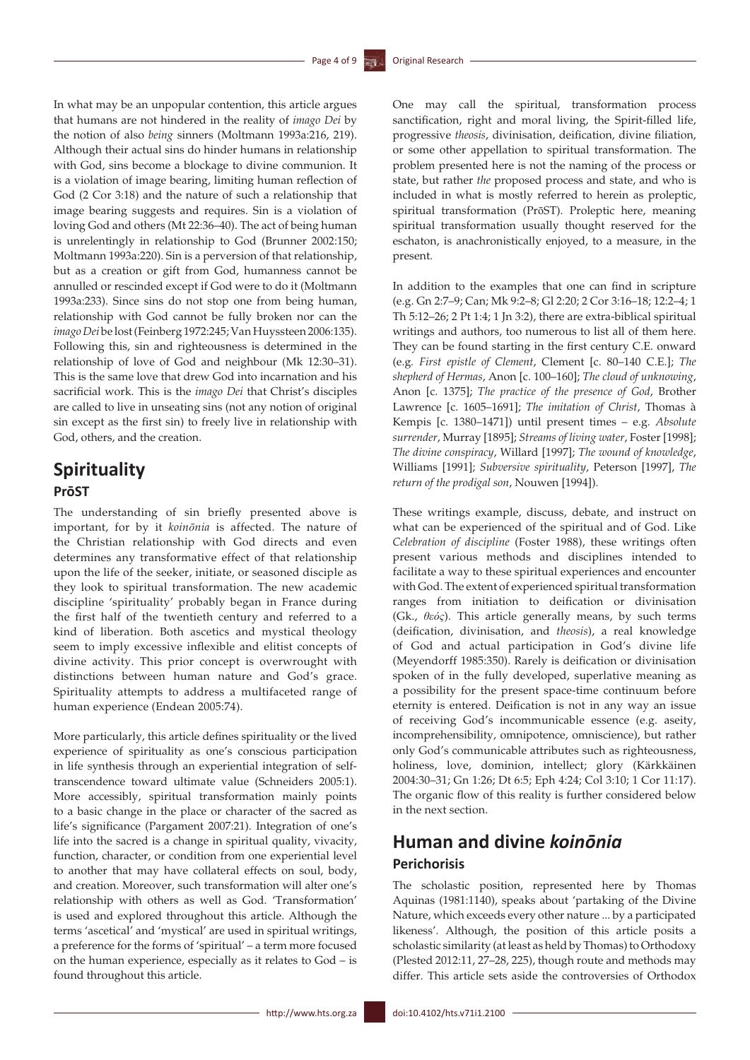In what may be an unpopular contention, this article argues that humans are not hindered in the reality of *imago Dei* by the notion of also *being* sinners (Moltmann 1993a:216, 219). Although their actual sins do hinder humans in relationship with God, sins become a blockage to divine communion. It is a violation of image bearing, limiting human reflection of God (2 Cor 3:18) and the nature of such a relationship that image bearing suggests and requires. Sin is a violation of loving God and others (Mt 22:36–40). The act of being human is unrelentingly in relationship to God (Brunner 2002:150; Moltmann 1993a:220). Sin is a perversion of that relationship, but as a creation or gift from God, humanness cannot be annulled or rescinded except if God were to do it (Moltmann 1993a:233). Since sins do not stop one from being human, relationship with God cannot be fully broken nor can the *imago Dei* be lost (Feinberg 1972:245; Van Huyssteen 2006:135). Following this, sin and righteousness is determined in the relationship of love of God and neighbour (Mk 12:30–31). This is the same love that drew God into incarnation and his sacrificial work. This is the *imago Dei* that Christ's disciples are called to live in unseating sins (not any notion of original sin except as the first sin) to freely live in relationship with God, others, and the creation.

## **Spirituality PrōST**

The understanding of sin briefly presented above is important, for by it *koinōnia* is affected. The nature of the Christian relationship with God directs and even determines any transformative effect of that relationship upon the life of the seeker, initiate, or seasoned disciple as they look to spiritual transformation. The new academic discipline 'spirituality' probably began in France during the first half of the twentieth century and referred to a kind of liberation. Both ascetics and mystical theology seem to imply excessive inflexible and elitist concepts of divine activity. This prior concept is overwrought with distinctions between human nature and God's grace. Spirituality attempts to address a multifaceted range of human experience (Endean 2005:74).

More particularly, this article defines spirituality or the lived experience of spirituality as one's conscious participation in life synthesis through an experiential integration of selftranscendence toward ultimate value (Schneiders 2005:1). More accessibly, spiritual transformation mainly points to a basic change in the place or character of the sacred as life's significance (Pargament 2007:21). Integration of one's life into the sacred is a change in spiritual quality, vivacity, function, character, or condition from one experiential level to another that may have collateral effects on soul, body, and creation. Moreover, such transformation will alter one's relationship with others as well as God. 'Transformation' is used and explored throughout this article. Although the terms 'ascetical' and 'mystical' are used in spiritual writings, a preference for the forms of 'spiritual' – a term more focused on the human experience, especially as it relates to God – is found throughout this article.

One may call the spiritual, transformation process sanctification, right and moral living, the Spirit-filled life, progressive *theosis*, divinisation, deification, divine filiation, or some other appellation to spiritual transformation. The problem presented here is not the naming of the process or state, but rather *the* proposed process and state, and who is included in what is mostly referred to herein as proleptic, spiritual transformation (PrōST). Proleptic here, meaning spiritual transformation usually thought reserved for the eschaton, is anachronistically enjoyed, to a measure, in the present.

In addition to the examples that one can find in scripture (e.g. Gn 2:7–9; Can; Mk 9:2–8; Gl 2:20; 2 Cor 3:16–18; 12:2–4; 1 Th 5:12–26; 2 Pt 1:4; [1 Jn](http://en.wikipedia.org/wiki/First_Epistle_of_John) 3:2), there are extra-biblical spiritual writings and authors, too numerous to list all of them here. They can be found starting in the first century C.E. onward (e.g*. First epistle of Clement*, Clement [c. 80–140 C.E.]; *The shepherd of Hermas*, Anon [c. 100–160]; *The cloud of unknowing*, Anon [c. 1375]; *The practice of the presence of God*, Brother Lawrence [c. 1605–1691]; *The imitation of Christ*, Thomas à Kempis [c. 1380–1471]) until present times – e.g. *Absolute surrender*, Murray [1895]; *Streams of living water*, Foster [1998]; *The divine conspiracy*, Willard [1997]; *The wound of knowledge*, Williams [1991]; *Subversive spirituality*, Peterson [1997], *The return of the prodigal son*, Nouwen [1994]).

These writings example, discuss, debate, and instruct on what can be experienced of the spiritual and of God. Like *Celebration of discipline* (Foster 1988), these writings often present various methods and disciplines intended to facilitate a way to these spiritual experiences and encounter with God. The extent of experienced spiritual transformation ranges from initiation to deification or divinisation (Gk., *θεός*). This article generally means, by such terms (deification, divinisation, and *theosis*), a real knowledge of God and actual participation in God's divine life (Meyendorff 1985:350). Rarely is deification or divinisation spoken of in the fully developed, superlative meaning as a possibility for the present space-time continuum before eternity is entered. Deification is not in any way an issue of receiving God's incommunicable essence (e.g. aseity, incomprehensibility, omnipotence, omniscience), but rather only God's communicable attributes such as righteousness, holiness, love, dominion, intellect; glory (Kärkkäinen 2004:30–31; Gn 1:26; Dt 6:5; Eph 4:24; Col 3:10; 1 Cor 11:17). The organic flow of this reality is further considered below in the next section.

## **Human and divine** *koinōnia* **Perichorisis**

The scholastic position, represented here by Thomas Aquinas (1981:1140), speaks about 'partaking of the Divine Nature, which exceeds every other nature ... by a participated likeness'. Although, the position of this article posits a scholastic similarity (at least as held by Thomas) to Orthodoxy (Plested 2012:11, 27–28, 225), though route and methods may differ. This article sets aside the controversies of Orthodox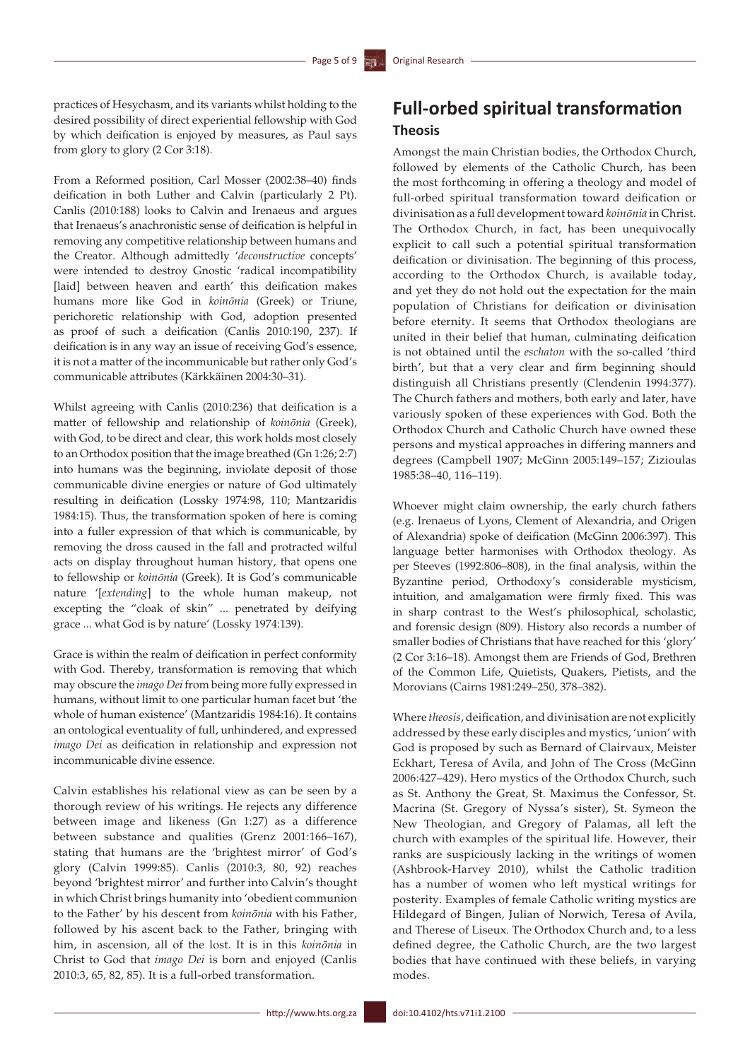practices of Hesychasm, and its variants whilst holding to the desired possibility of direct experiential fellowship with God by which deification is enjoyed by measures, as Paul says from glory to glory (2 Cor 3:18).

From a Reformed position, Carl Mosser (2002:38–40) finds deification in both Luther and Calvin (particularly 2 Pt). Canlis (2010:188) looks to Calvin and Irenaeus and argues that Irenaeus's anachronistic sense of deification is helpful in removing any competitive relationship between humans and the Creator. Although admittedly '*deconstructive* concepts' were intended to destroy Gnostic 'radical incompatibility [laid] between heaven and earth' this deification makes humans more like God in *koinōnia* (Greek) or Triune, perichoretic relationship with God, adoption presented as proof of such a deification (Canlis 2010:190, 237). If deification is in any way an issue of receiving God's essence, it is not a matter of the incommunicable but rather only God's communicable attributes (Kärkkäinen 2004:30–31).

Whilst agreeing with Canlis (2010:236) that deification is a matter of fellowship and relationship of *koinōnia* (Greek), with God, to be direct and clear, this work holds most closely to an Orthodox position that the image breathed (Gn 1:26; 2:7) into humans was the beginning, inviolate deposit of those communicable divine energies or nature of God ultimately resulting in deification (Lossky 1974:98, 110; Mantzaridis 1984:15). Thus, the transformation spoken of here is coming into a fuller expression of that which is communicable, by removing the dross caused in the fall and protracted wilful acts on display throughout human history, that opens one to fellowship or *koinōnia* (Greek). It is God's communicable nature '[*extending*] to the whole human makeup, not excepting the "cloak of skin" ... penetrated by deifying grace ... what God is by nature' (Lossky 1974:139).

Grace is within the realm of deification in perfect conformity with God. Thereby, transformation is removing that which may obscure the *imago Dei* from being more fully expressed in humans, without limit to one particular human facet but 'the whole of human existence' (Mantzaridis 1984:16). It contains an ontological eventuality of full, unhindered, and expressed *imago Dei* as deification in relationship and expression not incommunicable divine essence.

Calvin establishes his relational view as can be seen by a thorough review of his writings. He rejects any difference between image and likeness (Gn 1:27) as a difference between substance and qualities (Grenz 2001:166–167), stating that humans are the 'brightest mirror' of God's glory (Calvin 1999:85). Canlis (2010:3, 80, 92) reaches beyond 'brightest mirror' and further into Calvin's thought in which Christ brings humanity into 'obedient communion to the Father' by his descent from *koinōnia* with his Father, followed by his ascent back to the Father, bringing with him, in ascension, all of the lost. It is in this *koinōnia* in Christ to God that *imago Dei* is born and enjoyed (Canlis 2010:3, 65, 82, 85). It is a full-orbed transformation.

## **Full-orbed spiritual transformation Theosis**

Amongst the main Christian bodies, the Orthodox Church, followed by elements of the Catholic Church, has been the most forthcoming in offering a theology and model of full-orbed spiritual transformation toward deification or divinisation as a full development toward *koinōnia* in Christ. The Orthodox Church, in fact, has been unequivocally explicit to call such a potential spiritual transformation deification or divinisation. The beginning of this process, according to the Orthodox Church, is available today, and yet they do not hold out the expectation for the main population of Christians for deification or divinisation before eternity. It seems that Orthodox theologians are united in their belief that human, culminating deification is not obtained until the *eschaton* with the so-called 'third birth', but that a very clear and firm beginning should distinguish all Christians presently (Clendenin 1994:377). The Church fathers and mothers, both early and later, have variously spoken of these experiences with God. Both the Orthodox Church and Catholic Church have owned these persons and mystical approaches in differing manners and degrees (Campbell 1907; McGinn 2005:149–157; Zizioulas 1985:38–40, 116–119).

Whoever might claim ownership, the early church fathers (e.g. Irenaeus of Lyons, Clement of Alexandria, and Origen of Alexandria) spoke of deification (McGinn 2006:397). This language better harmonises with Orthodox theology. As per Steeves (1992:806–808), in the final analysis, within the Byzantine period, Orthodoxy's considerable mysticism, intuition, and amalgamation were firmly fixed. This was in sharp contrast to the West's philosophical, scholastic, and forensic design (809). History also records a number of smaller bodies of Christians that have reached for this 'glory' (2 Cor 3:16–18). Amongst them are Friends of God, Brethren of the Common Life, Quietists, Quakers, Pietists, and the Morovians (Cairns 1981:249–250, 378–382).

Where *theosis*, deification, and divinisation are not explicitly addressed by these early disciples and mystics, 'union' with God is proposed by such as Bernard of Clairvaux, Meister Eckhart, Teresa of Avila, and John of The Cross (McGinn 2006:427–429). Hero mystics of the Orthodox Church, such as St. Anthony the Great, St. Maximus the Confessor, St. Macrina (St. Gregory of Nyssa's sister), St. Symeon the New Theologian, and Gregory of Palamas, all left the church with examples of the spiritual life. However, their ranks are suspiciously lacking in the writings of women (Ashbrook-Harvey 2010), whilst the Catholic tradition has a number of women who left mystical writings for posterity. Examples of female Catholic writing mystics are Hildegard of Bingen, Julian of Norwich, Teresa of Avila, and Therese of Liseux. The Orthodox Church and, to a less defined degree, the Catholic Church, are the two largest bodies that have continued with these beliefs, in varying modes.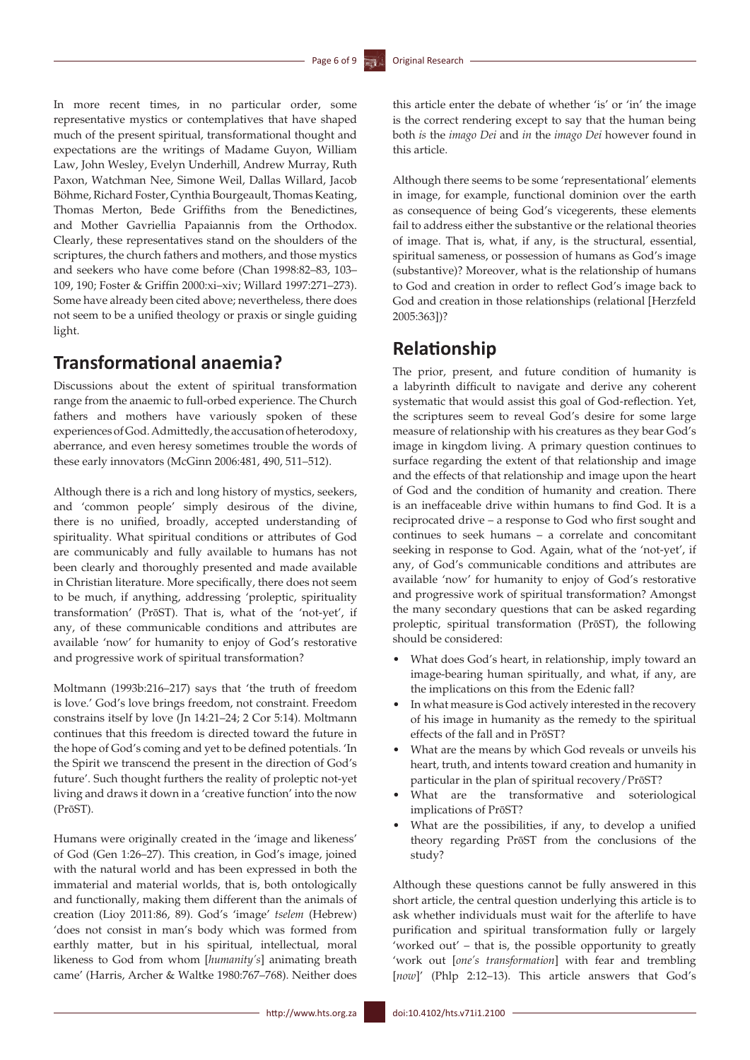In more recent times, in no particular order, some representative mystics or contemplatives that have shaped much of the present spiritual, transformational thought and expectations are the writings of Madame Guyon, William Law, John Wesley, Evelyn Underhill, Andrew Murray, Ruth Paxon, Watchman Nee, Simone Weil, Dallas Willard, Jacob Böhme, Richard Foster, Cynthia Bourgeault, Thomas Keating, Thomas Merton, Bede Griffiths from the Benedictines, and Mother Gavriellia Papaiannis from the Orthodox. Clearly, these representatives stand on the shoulders of the scriptures, the church fathers and mothers, and those mystics and seekers who have come before (Chan 1998:82–83, 103– 109, 190; Foster & Griffin 2000:xi–xiv; Willard 1997:271–273). Some have already been cited above; nevertheless, there does not seem to be a unified theology or praxis or single guiding light.

## **Transformational anaemia?**

Discussions about the extent of spiritual transformation range from the anaemic to full-orbed experience. The Church fathers and mothers have variously spoken of these experiences of God. Admittedly, the accusation of heterodoxy, aberrance, and even heresy sometimes trouble the words of these early innovators (McGinn 2006:481, 490, 511–512).

Although there is a rich and long history of mystics, seekers, and 'common people' simply desirous of the divine, there is no unified, broadly, accepted understanding of spirituality. What spiritual conditions or attributes of God are communicably and fully available to humans has not been clearly and thoroughly presented and made available in Christian literature. More specifically, there does not seem to be much, if anything, addressing 'proleptic, spirituality transformation' (PrōST). That is, what of the 'not-yet', if any, of these communicable conditions and attributes are available 'now' for humanity to enjoy of God's restorative and progressive work of spiritual transformation?

Moltmann (1993b:216–217) says that 'the truth of freedom is love.' God's love brings freedom, not constraint. Freedom constrains itself by love (Jn 14:21–24; 2 Cor 5:14). Moltmann continues that this freedom is directed toward the future in the hope of God's coming and yet to be defined potentials. 'In the Spirit we transcend the present in the direction of God's future'. Such thought furthers the reality of proleptic not-yet living and draws it down in a 'creative function' into the now (PrōST).

Humans were originally created in the 'image and likeness' of God (Gen 1:26–27). This creation, in God's image, joined with the natural world and has been expressed in both the immaterial and material worlds, that is, both ontologically and functionally, making them different than the animals of creation (Lioy 2011:86, 89). God's 'image' *tselem* (Hebrew) 'does not consist in man's body which was formed from earthly matter, but in his spiritual, intellectual, moral likeness to God from whom [*humanity's*] animating breath came' (Harris, Archer & Waltke 1980:767–768). Neither does

this article enter the debate of whether 'is' or 'in' the image is the correct rendering except to say that the human being both *is* the *imago Dei* and *in* the *imago Dei* however found in this article.

Although there seems to be some 'representational' elements in image, for example, functional dominion over the earth as consequence of being God's vicegerents, these elements fail to address either the substantive or the relational theories of image. That is, what, if any, is the structural, essential, spiritual sameness, or possession of humans as God's image (substantive)? Moreover, what is the relationship of humans to God and creation in order to reflect God's image back to God and creation in those relationships (relational [Herzfeld 2005:363])?

### **Relationship**

The prior, present, and future condition of humanity is a labyrinth difficult to navigate and derive any coherent systematic that would assist this goal of God-reflection. Yet, the scriptures seem to reveal God's desire for some large measure of relationship with his creatures as they bear God's image in kingdom living. A primary question continues to surface regarding the extent of that relationship and image and the effects of that relationship and image upon the heart of God and the condition of humanity and creation. There is an ineffaceable drive within humans to find God. It is a reciprocated drive – a response to God who first sought and continues to seek humans – a correlate and concomitant seeking in response to God. Again, what of the 'not-yet', if any, of God's communicable conditions and attributes are available 'now' for humanity to enjoy of God's restorative and progressive work of spiritual transformation? Amongst the many secondary questions that can be asked regarding proleptic, spiritual transformation (PrōST), the following should be considered:

- What does God's heart, in relationship, imply toward an image-bearing human spiritually, and what, if any, are the implications on this from the Edenic fall?
- In what measure is God actively interested in the recovery of his image in humanity as the remedy to the spiritual effects of the fall and in PrōST?
- What are the means by which God reveals or unveils his heart, truth, and intents toward creation and humanity in particular in the plan of spiritual recovery/PrōST?
- What are the transformative and soteriological implications of PrōST?
- What are the possibilities, if any, to develop a unified theory regarding PrōST from the conclusions of the study?

Although these questions cannot be fully answered in this short article, the central question underlying this article is to ask whether individuals must wait for the afterlife to have purification and spiritual transformation fully or largely 'worked out' – that is, the possible opportunity to greatly 'work out [*one's transformation*] with fear and trembling [*now*]' (Phlp 2:12–13). This article answers that God's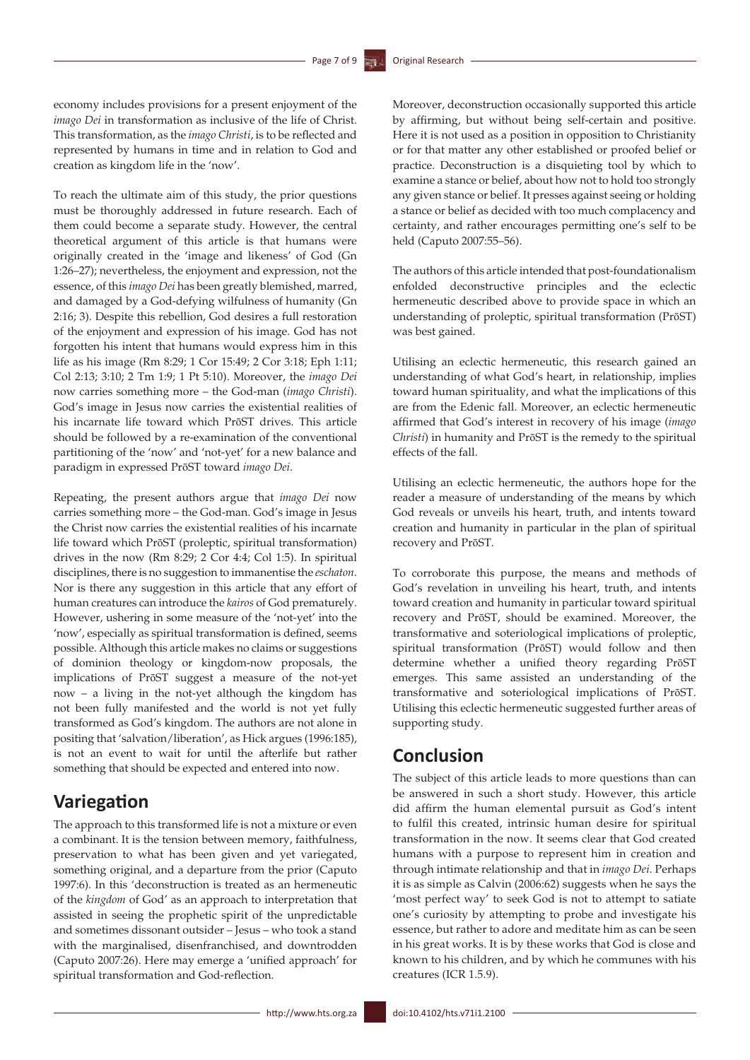economy includes provisions for a present enjoyment of the *imago Dei* in transformation as inclusive of the life of Christ. This transformation, as the *imago Christi*, is to be reflected and represented by humans in time and in relation to God and creation as kingdom life in the 'now'.

To reach the ultimate aim of this study, the prior questions must be thoroughly addressed in future research. Each of them could become a separate study. However, the central theoretical argument of this article is that humans were originally created in the 'image and likeness' of God (Gn 1:26–27); nevertheless, the enjoyment and expression, not the essence, of this *imago Dei* has been greatly blemished, marred, and damaged by a God-defying wilfulness of humanity (Gn 2:16; 3). Despite this rebellion, God desires a full restoration of the enjoyment and expression of his image. God has not forgotten his intent that humans would express him in this life as his image (Rm 8:29; 1 Cor 15:49; 2 Cor 3:18; Eph 1:11; Col 2:13; 3:10; 2 Tm 1:9; 1 Pt 5:10). Moreover, the *imago Dei* now carries something more – the God-man (*imago Christi*). God's image in Jesus now carries the existential realities of his incarnate life toward which PrōST drives. This article should be followed by a re-examination of the conventional partitioning of the 'now' and 'not-yet' for a new balance and paradigm in expressed PrōST toward *imago Dei*.

Repeating, the present authors argue that *imago Dei* now carries something more – the God-man. God's image in Jesus the Christ now carries the existential realities of his incarnate life toward which PrōST (proleptic, spiritual transformation) drives in the now (Rm 8:29; 2 Cor 4:4; Col 1:5). In spiritual disciplines, there is no suggestion to immanentise the *eschaton*. Nor is there any suggestion in this article that any effort of human creatures can introduce the *kairos* of God prematurely. However, ushering in some measure of the 'not-yet' into the 'now', especially as spiritual transformation is defined, seems possible. Although this article makes no claims or suggestions of dominion theology or kingdom-now proposals, the implications of PrōST suggest a measure of the not-yet now – a living in the not-yet although the kingdom has not been fully manifested and the world is not yet fully transformed as God's kingdom. The authors are not alone in positing that 'salvation/liberation', as Hick argues (1996:185), is not an event to wait for until the afterlife but rather something that should be expected and entered into now.

### **Variegation**

The approach to this transformed life is not a mixture or even a combinant. It is the tension between memory, faithfulness, preservation to what has been given and yet variegated, something original, and a departure from the prior (Caputo 1997:6). In this 'deconstruction is treated as an hermeneutic of the *kingdom* of God' as an approach to interpretation that assisted in seeing the prophetic spirit of the unpredictable and sometimes dissonant outsider – Jesus – who took a stand with the marginalised, disenfranchised, and downtrodden (Caputo 2007:26). Here may emerge a 'unified approach' for spiritual transformation and God-reflection.

Moreover, deconstruction occasionally supported this article by affirming, but without being self-certain and positive. Here it is not used as a position in opposition to Christianity or for that matter any other established or proofed belief or practice. Deconstruction is a disquieting tool by which to examine a stance or belief, about how not to hold too strongly any given stance or belief. It presses against seeing or holding a stance or belief as decided with too much complacency and certainty, and rather encourages permitting one's self to be held (Caputo 2007:55–56).

The authors of this article intended that post-foundationalism enfolded deconstructive principles and the eclectic hermeneutic described above to provide space in which an understanding of proleptic, spiritual transformation (PrōST) was best gained.

Utilising an eclectic hermeneutic, this research gained an understanding of what God's heart, in relationship, implies toward human spirituality, and what the implications of this are from the Edenic fall. Moreover, an eclectic hermeneutic affirmed that God's interest in recovery of his image (*imago Christi*) in humanity and PrōST is the remedy to the spiritual effects of the fall.

Utilising an eclectic hermeneutic, the authors hope for the reader a measure of understanding of the means by which God reveals or unveils his heart, truth, and intents toward creation and humanity in particular in the plan of spiritual recovery and PrōST.

To corroborate this purpose, the means and methods of God's revelation in unveiling his heart, truth, and intents toward creation and humanity in particular toward spiritual recovery and PrōST, should be examined. Moreover, the transformative and soteriological implications of proleptic, spiritual transformation (PrōST) would follow and then determine whether a unified theory regarding PrōST emerges. This same assisted an understanding of the transformative and soteriological implications of PrōST. Utilising this eclectic hermeneutic suggested further areas of supporting study.

## **Conclusion**

The subject of this article leads to more questions than can be answered in such a short study. However, this article did affirm the human elemental pursuit as God's intent to fulfil this created, intrinsic human desire for spiritual transformation in the now. It seems clear that God created humans with a purpose to represent him in creation and through intimate relationship and that in *imago Dei*. Perhaps it is as simple as Calvin (2006:62) suggests when he says the 'most perfect way' to seek God is not to attempt to satiate one's curiosity by attempting to probe and investigate his essence, but rather to adore and meditate him as can be seen in his great works. It is by these works that God is close and known to his children, and by which he communes with his creatures (ICR 1.5.9).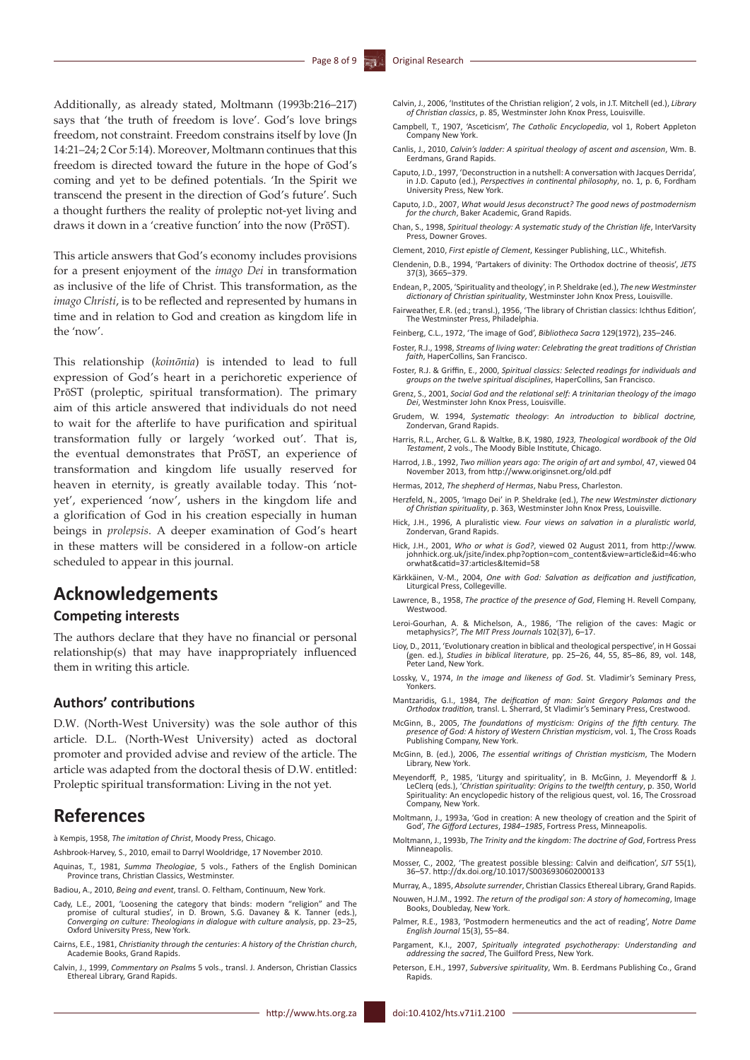Additionally, as already stated, Moltmann (1993b:216–217) says that 'the truth of freedom is love'. God's love brings freedom, not constraint. Freedom constrains itself by love (Jn 14:21–24; 2 Cor 5:14). Moreover, Moltmann continues that this freedom is directed toward the future in the hope of God's coming and yet to be defined potentials. 'In the Spirit we transcend the present in the direction of God's future'. Such a thought furthers the reality of proleptic not-yet living and draws it down in a 'creative function' into the now (PrōST).

This article answers that God's economy includes provisions for a present enjoyment of the *imago Dei* in transformation as inclusive of the life of Christ. This transformation, as the *imago Christi*, is to be reflected and represented by humans in time and in relation to God and creation as kingdom life in the 'now'.

This relationship (*koinōnia*) is intended to lead to full expression of God's heart in a perichoretic experience of PrōST (proleptic, spiritual transformation). The primary aim of this article answered that individuals do not need to wait for the afterlife to have purification and spiritual transformation fully or largely 'worked out'. That is, the eventual demonstrates that PrōST, an experience of transformation and kingdom life usually reserved for heaven in eternity, is greatly available today. This 'notyet', experienced 'now', ushers in the kingdom life and a glorification of God in his creation especially in human beings in *prolepsis*. A deeper examination of God's heart in these matters will be considered in a follow-on article scheduled to appear in this journal.

## **Acknowledgements**

### **Competing interests**

The authors declare that they have no financial or personal relationship(s) that may have inappropriately influenced them in writing this article.

### **Authors' contributions**

D.W. (North-West University) was the sole author of this article. D.L. (North-West University) acted as doctoral promoter and provided advise and review of the article. The article was adapted from the doctoral thesis of D.W. entitled: Proleptic spiritual transformation: Living in the not yet.

### **References**

à Kempis, 1958, *The imitation of Christ*, Moody Press, Chicago.

- Ashbrook-Harvey, S., 2010, email to Darryl Wooldridge, 17 November 2010.
- Aquinas, T., 1981, *Summa Theologiae*, 5 vols., Fathers of the English Dominican Province trans, Christian Classics, Westminster.
- Badiou, A., 2010, *Being and event*, transl. O. Feltham, Continuum, New York.
- Cady, L.E., 2001, 'Loosening the category that binds: modern "religion" and The promise of cultural studies', in D. Brown, S.G. Davaney & K. Tanner (eds.), *Converging on culture: Theologians in dialogue with culture analysis*, pp. 23–25, Oxford University Press, New York.
- Cairns, E.E., 1981, *Christianity through the centuries*: *A history of the Christian church*, Academie Books, Grand Rapids.
- Calvin, J., 1999, *Commentary on Psalm*s 5 vols., transl. J. Anderson, Christian Classics Ethereal Library, Grand Rapids.
- Campbell, T., 1907, 'Asceticism', *The Catholic Encyclopedia*, vol 1, Robert Appleton Company New York.
- Canlis, J., 2010, *Calvin's ladder: A spiritual theology of ascent and ascension*, Wm. B. Eerdmans, Grand Rapids.
- Caputo, J.D., 1997, 'Deconstruction in a nutshell: A conversation with Jacques Derrida', in J.D. Caputo (ed.), *Perspectives in continental philosophy*, no. 1, p. 6, Fordham University Press, New York.
- Caputo, J.D., 2007, *What would Jesus deconstruct? The good news of postmodernism for the church*, Baker Academic, Grand Rapids.
- Chan, S., 1998, *[Spiritual theology: A systematic study of the Christian life](http://www.amazon.com/Spiritual-Theology-Systematic-Study-Christian/dp/0830815422/ref=sr_1_1?s=books&ie=UTF8&qid=1299548270&sr=1-1)*, InterVarsity Press, Downer Groves.
- Clement, 2010, *First epistle of Clement*, Kessinger Publishing, LLC., Whitefish.
- Clendenin, D.B., 1994, 'Partakers of divinity: The Orthodox doctrine of theosis', *JETS* 37(3), 3665–379.
- Endean, P., 2005, 'Spirituality and theology', in P. Sheldrake (ed.), *The new Westminster dictionary of Christian spirituality*, Westminster John Knox Press, Louisville.
- Fairweather, E.R. (ed.; transl.), 1956, 'The library of Christian classics: Ichthus Edition', The Westminster Press, Philadelphia.
- Feinberg, C.L., 1972, 'The image of God', *Bibliotheca Sacra* 129(1972), 235–246.
- Foster, R.J., 1998, *Streams of living water: Celebrating the great traditions of Christian faith*, HaperCollins, San Francisco.
- Foster, R.J. & Griffin, E., 2000, *Spiritual classics: Selected readings for individuals and groups on the twelve spiritual disciplines*, HaperCollins, San Francisco.
- Grenz, S., 2001, *Social God and the relational self: A trinitarian theology of the imago Dei*, Westminster John Knox Press, Louisville.
- Grudem, W. 1994, *Systematic theology*: *An introduction to biblical doctrine,* Zondervan, Grand Rapids.
- Harris, R.L., Archer, G.L. & Waltke, B.K, 1980, *1923, Theological wordbook of the Old Testament*, 2 vols., The Moody Bible Institute, Chicago.
- Harrod, J.B., 1992, *Two million years ago: The origin of art and symbol*, 47, viewed 04 November 2013, from<http://www.originsnet.org/old.pdf>
- Hermas, 2012, *The shepherd of Hermas*, Nabu Press, Charleston.
- Herzfeld, N., 2005, 'Imago Dei' in P. Sheldrake (ed.), *The new Westminster dictionary of Christian spirituality*, p. 363, Westminster John Knox Press, Louisville.
- Hick, J.H., 1996, A pluralistic view. *Four views on salvation in a pluralistic world*, Zondervan, Grand Rapids.
- Hick, J.H., 2001, *Who or what is God?*, viewed 02 August 2011, from [http://www.](http://www.johnhick.org.uk/jsite/index.php?option=com_content&view=article&id=46:whoorwhat&catid=37:articles&Itemid=58) [johnhick.org.uk/jsite/index.php?option=com\\_content&view=article&id=46:who](http://www.johnhick.org.uk/jsite/index.php?option=com_content&view=article&id=46:whoorwhat&catid=37:articles&Itemid=58) [orwhat&catid=37:articles&Itemid=58](http://www.johnhick.org.uk/jsite/index.php?option=com_content&view=article&id=46:whoorwhat&catid=37:articles&Itemid=58)
- Kärkkäinen, V.-M., 2004, *One with God: Salvation as deification and justification*, Liturgical Press, Collegeville.
- Lawrence, B., 1958, *The practice of the presence of God*, Fleming H. Revell Company, Westwood.
- Leroi-Gourhan, A. & Michelson, A., 1986, 'The religion of the caves: Magic or metaphysics?', *The MIT Press Journals* 102(37), 6–17.
- Lioy, D., 2011, 'Evolutionary creation in biblical and theological perspective', in H Gossai (gen. ed.), *Studies in biblical literature*, pp. 25–26, 44, 55, 85–86, 89, vol. 148, Peter Land, New York.
- Lossky, V., 1974, *In the image and likeness of God*. St. Vladimir's Seminary Press, Yonkers.
- Mantzaridis, G.I., 1984, *The deification of man: Saint Gregory Palamas and the Orthodox tradition,* transl. L. Sherrard, St Vladimir's Seminary Press, Crestwood.
- McGinn, B., 2005, *The foundations of mysticism: Origins of the fifth century. The presence of God: A history of Western Christian mysticism*, vol. 1, The Cross Roads Publishing Company, New York.
- McGinn, B. (ed.), 2006, *The essential writings of Christian mysticism*, The Modern Library, New York.
- Meyendorff, P., 1985, 'Liturgy and spirituality', in B. McGinn, J. Meyendorff & J. LeClerq (eds.), '*Christian spirituality: Origins to the twelfth century*, p. 350, World Spirituality: An encyclopedic history of the religious quest, vol. 16, The Crossroad Company, New York.
- Moltmann, [J.,](http://www.amazon.com/s/ref=ntt_athr_dp_sr_1?_encoding=UTF8&sort=relevancerank&search-alias=books&field-author=Jurgen Moltmann) 1993a, 'God in creation: A new theology of creation and the Spirit of God', *The Gifford Lectures*, *1984–1985*, Fortress Press, Minneapolis.
- Moltmann, [J.,](http://www.amazon.com/s/ref=ntt_athr_dp_sr_1?_encoding=UTF8&sort=relevancerank&search-alias=books&field-author=Jurgen Moltmann) 1993b, *The Trinity and the kingdom: The doctrine of God*, Fortress Press Minneapolis.
- Mosser, C., 2002, 'The greatest possible blessing: Calvin and deification', *SJT* 55(1), 36–57. <http://dx.doi.org/10.1017/S0036930602000133>
- Murray, A., 1895, *Absolute surrender*, Christian Classics Ethereal Library, Grand Rapids.
- Nouwen, H.J.M., 1992. *The return of the prodigal son: A story of homecoming*, Image Books, Doubleday, New York.
- Palmer, R.E., 1983, 'Postmodern hermeneutics and the act of reading', *Notre Dame English Journal* 15(3), 55–84.
- Pargament, K.I., 2007, *Spiritually integrated psychotherapy: Understanding and addressing the sacred*, The Guilford Press, New York.
- Peterson, E.H., 1997, *Subversive spirituality*, Wm. B. Eerdmans Publishing Co., Grand Rapids.